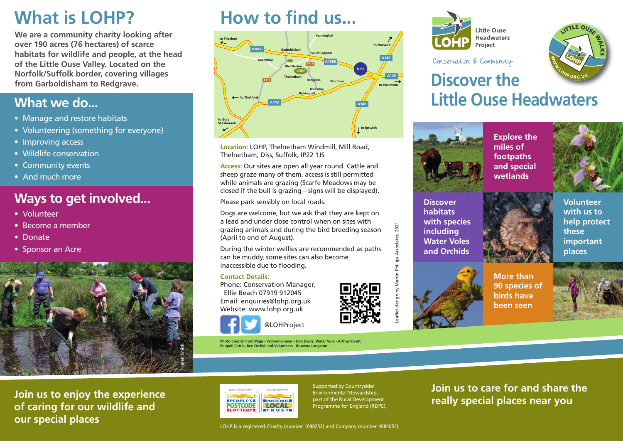**We are a community charity looking after over 190 acres (76 hectares) of scarce habitats for wildlife and people, at the head of the Little Ouse Valley. Located on the Norfolk/Suffolk border, covering villages from Garboldisham to Redgrave.**

## **What we do...**

- **•** Manage and restore habitats
- **•** Volunteering (something for everyone)
- **•** Improving access
- **•** Wildlife conservation
- **•** Community events
- **•** And much more

### **Ways to get involved...**

- **•** Volunteer
- **•** Become a member
- **•** Donate
- **•** Sponsor an Acre



**What is LOHP? How to find us...**



**Location:** LOHP, Thelnetham Windmill, Mill Road, Thelnetham, Diss, Suffolk, IP22 1JS

**Access:** Our sites are open all year round. Cattle and sheep graze many of them, access is still permitted while animals are grazing (Scarfe Meadows may be closed if the bull is grazing – signs will be displayed).

Please park sensibly on local roads.

Dogs are welcome, but we ask that they are kept on a lead and under close control when on sites with grazing animals and during the bird breeding season (April to end of August).

During the winter wellies are recommended as paths can be muddy, some sites can also become inaccessible due to flooding.

#### **Contact Details:**

Phone: Conservation Manager, Ellie Beach 07919 912045 Email: enquiries@lohp.org.uk Website: www.lohp.org.uk



**Photo Credits Front Page - Yellowhammer - Dan Davis, Water Vole - Arthur Rivett, Redpoll Cattle, Bee Orchid and Volunteers - Rowena Langston**

@LOHProject



Conservation & Community



# **Discover the Little Ouse Headwaters**



**Discover habitats with species including Water Voles and Orchids**

**Explore the miles of footpaths and special wetlands**



**Volunteer with us to help protect these important places**



**More than 90 species of birds have been seen**



**Join us to enjoy the experience of caring for our wildlife and our special places**



Supported by Countryside/ Environmental Stewardship, part of the Rural Development Programme for England (RDPE). **Join us to care for and share the really special places near you**

LOHP is a registered Charity (number 1098232) and Company (number 4684054)



Leaflet design by Martin Phillips Associates, 2021